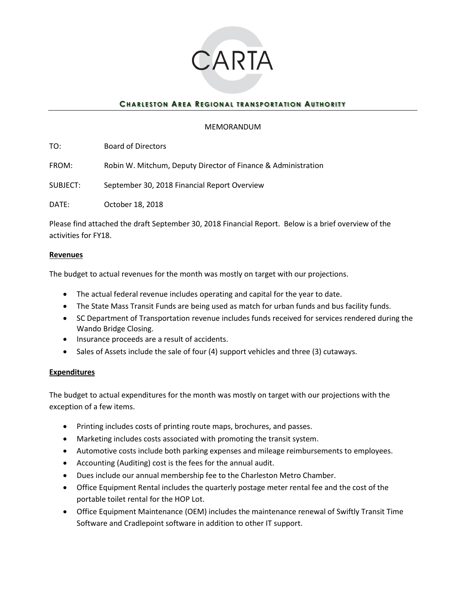

## **CHARLESTON AREA REGIONAL TRANSPORTATION AUTHORITY**

#### MEMORANDUM

TO: Board of Directors

FROM: Robin W. Mitchum, Deputy Director of Finance & Administration

SUBJECT: September 30, 2018 Financial Report Overview

DATE: October 18, 2018

Please find attached the draft September 30, 2018 Financial Report. Below is a brief overview of the activities for FY18.

#### **Revenues**

The budget to actual revenues for the month was mostly on target with our projections.

- The actual federal revenue includes operating and capital for the year to date.
- The State Mass Transit Funds are being used as match for urban funds and bus facility funds.
- SC Department of Transportation revenue includes funds received for services rendered during the Wando Bridge Closing.
- Insurance proceeds are a result of accidents.
- Sales of Assets include the sale of four (4) support vehicles and three (3) cutaways.

### **Expenditures**

The budget to actual expenditures for the month was mostly on target with our projections with the exception of a few items.

- Printing includes costs of printing route maps, brochures, and passes.
- Marketing includes costs associated with promoting the transit system.
- Automotive costs include both parking expenses and mileage reimbursements to employees.
- Accounting (Auditing) cost is the fees for the annual audit.
- Dues include our annual membership fee to the Charleston Metro Chamber.
- Office Equipment Rental includes the quarterly postage meter rental fee and the cost of the portable toilet rental for the HOP Lot.
- Office Equipment Maintenance (OEM) includes the maintenance renewal of Swiftly Transit Time Software and Cradlepoint software in addition to other IT support.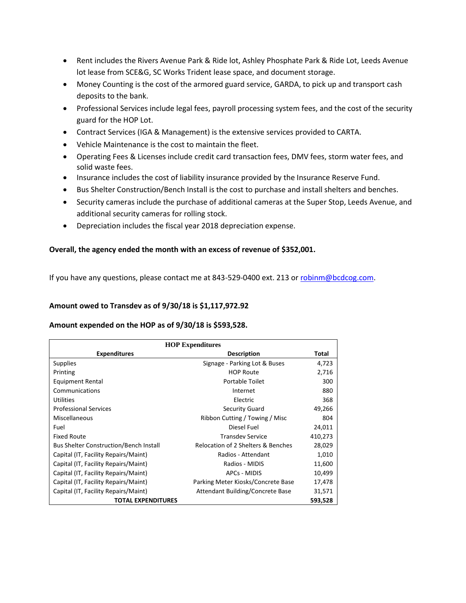- Rent includes the Rivers Avenue Park & Ride lot, Ashley Phosphate Park & Ride Lot, Leeds Avenue lot lease from SCE&G, SC Works Trident lease space, and document storage.
- Money Counting is the cost of the armored guard service, GARDA, to pick up and transport cash deposits to the bank.
- Professional Services include legal fees, payroll processing system fees, and the cost of the security guard for the HOP Lot.
- Contract Services (IGA & Management) is the extensive services provided to CARTA.
- Vehicle Maintenance is the cost to maintain the fleet.
- Operating Fees & Licenses include credit card transaction fees, DMV fees, storm water fees, and solid waste fees.
- Insurance includes the cost of liability insurance provided by the Insurance Reserve Fund.
- Bus Shelter Construction/Bench Install is the cost to purchase and install shelters and benches.
- Security cameras include the purchase of additional cameras at the Super Stop, Leeds Avenue, and additional security cameras for rolling stock.
- Depreciation includes the fiscal year 2018 depreciation expense.

### **Overall, the agency ended the month with an excess of revenue of \$352,001.**

If you have any questions, please contact me at 843-529-0400 ext. 213 o[r robinm@bcdcog.com.](mailto:robinm@bcdcog.com)

### **Amount owed to Transdev as of 9/30/18 is \$1,117,972.92**

### **Amount expended on the HOP as of 9/30/18 is \$593,528.**

| <b>HOP Expenditures</b>                       |                                    |         |  |
|-----------------------------------------------|------------------------------------|---------|--|
| <b>Expenditures</b>                           | <b>Description</b>                 | Total   |  |
| <b>Supplies</b>                               | Signage - Parking Lot & Buses      | 4,723   |  |
| Printing                                      | <b>HOP Route</b>                   | 2,716   |  |
| Equipment Rental                              | Portable Toilet                    | 300     |  |
| Communications                                | Internet                           | 880     |  |
| <b>Utilities</b>                              | Electric                           | 368     |  |
| <b>Professional Services</b>                  | Security Guard                     | 49,266  |  |
| Miscellaneous                                 | Ribbon Cutting / Towing / Misc     | 804     |  |
| Fuel                                          | Diesel Fuel                        | 24,011  |  |
| <b>Fixed Route</b>                            | <b>Transdev Service</b>            | 410,273 |  |
| <b>Bus Shelter Construction/Bench Install</b> | Relocation of 2 Shelters & Benches | 28,029  |  |
| Capital (IT, Facility Repairs/Maint)          | Radios - Attendant                 | 1,010   |  |
| Capital (IT, Facility Repairs/Maint)          | Radios - MIDIS                     | 11,600  |  |
| Capital (IT, Facility Repairs/Maint)          | APCs - MIDIS                       | 10,499  |  |
| Capital (IT, Facility Repairs/Maint)          | Parking Meter Kiosks/Concrete Base | 17,478  |  |
| Capital (IT, Facility Repairs/Maint)          | Attendant Building/Concrete Base   | 31,571  |  |
| <b>TOTAL EXPENDITURES</b>                     |                                    | 593,528 |  |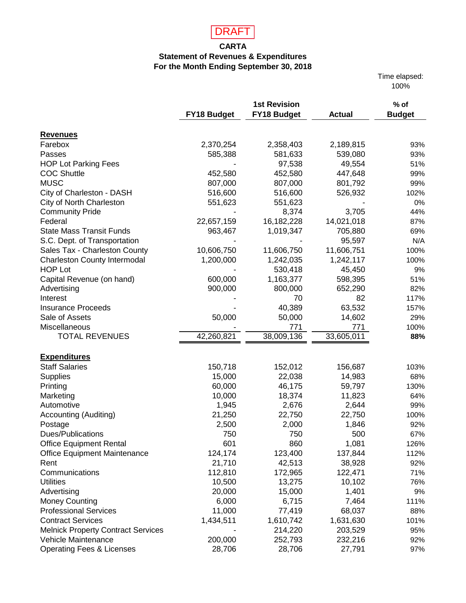

## **CARTA**

### **Statement of Revenues & Expenditures For the Month Ending September 30, 2018**

Time elapsed: 100%

|                                           |                    | <b>1st Revision</b> |               | $%$ of        |
|-------------------------------------------|--------------------|---------------------|---------------|---------------|
|                                           | <b>FY18 Budget</b> | <b>FY18 Budget</b>  | <b>Actual</b> | <b>Budget</b> |
| <b>Revenues</b>                           |                    |                     |               |               |
| Farebox                                   | 2,370,254          | 2,358,403           | 2,189,815     | 93%           |
| Passes                                    | 585,388            | 581,633             | 539,080       | 93%           |
| <b>HOP Lot Parking Fees</b>               |                    | 97,538              | 49,554        | 51%           |
| <b>COC Shuttle</b>                        | 452,580            | 452,580             | 447,648       | 99%           |
| <b>MUSC</b>                               | 807,000            | 807,000             | 801,792       | 99%           |
| City of Charleston - DASH                 | 516,600            | 516,600             | 526,932       | 102%          |
| City of North Charleston                  | 551,623            | 551,623             |               | $0\%$         |
| <b>Community Pride</b>                    |                    | 8,374               | 3,705         | 44%           |
| Federal                                   | 22,657,159         | 16,182,228          | 14,021,018    | 87%           |
| <b>State Mass Transit Funds</b>           | 963,467            | 1,019,347           | 705,880       | 69%           |
| S.C. Dept. of Transportation              |                    |                     | 95,597        | N/A           |
| Sales Tax - Charleston County             | 10,606,750         | 11,606,750          | 11,606,751    | 100%          |
| Charleston County Intermodal              | 1,200,000          | 1,242,035           | 1,242,117     | 100%          |
| <b>HOP Lot</b>                            |                    | 530,418             | 45,450        | 9%            |
| Capital Revenue (on hand)                 | 600,000            | 1,163,377           | 598,395       | 51%           |
| Advertising                               | 900,000            | 800,000             | 652,290       | 82%           |
| Interest                                  |                    | 70                  | 82            | 117%          |
| <b>Insurance Proceeds</b>                 |                    | 40,389              | 63,532        | 157%          |
| Sale of Assets                            | 50,000             | 50,000              | 14,602        | 29%           |
| Miscellaneous                             |                    | 771                 | 771           | 100%          |
| <b>TOTAL REVENUES</b>                     | 42,260,821         | 38,009,136          | 33,605,011    | 88%           |
| <b>Expenditures</b>                       |                    |                     |               |               |
| <b>Staff Salaries</b>                     | 150,718            | 152,012             | 156,687       | 103%          |
| <b>Supplies</b>                           | 15,000             | 22,038              | 14,983        | 68%           |
| Printing                                  | 60,000             | 46,175              | 59,797        | 130%          |
| Marketing                                 | 10,000             | 18,374              | 11,823        | 64%           |
| Automotive                                | 1,945              | 2,676               | 2,644         | 99%           |
| Accounting (Auditing)                     | 21,250             | 22,750              | 22,750        | 100%          |
| Postage                                   | 2,500              | 2,000               | 1,846         | 92%           |
| Dues/Publications                         | 750                | 750                 | 500           | 67%           |
| <b>Office Equipment Rental</b>            | 601                | 860                 | 1,081         | 126%          |
| <b>Office Equipment Maintenance</b>       | 124,174            | 123,400             | 137,844       | 112%          |
| Rent                                      | 21,710             | 42,513              | 38,928        | 92%           |
| Communications                            | 112,810            | 172,965             | 122,471       | 71%           |
| <b>Utilities</b>                          | 10,500             | 13,275              | 10,102        | 76%           |
| Advertising                               | 20,000             | 15,000              | 1,401         | 9%            |
| <b>Money Counting</b>                     | 6,000              | 6,715               | 7,464         | 111%          |
| <b>Professional Services</b>              | 11,000             | 77,419              | 68,037        | 88%           |
| <b>Contract Services</b>                  | 1,434,511          | 1,610,742           | 1,631,630     | 101%          |
| <b>Melnick Property Contract Services</b> |                    | 214,220             | 203,529       | 95%           |
| Vehicle Maintenance                       | 200,000            | 252,793             | 232,216       | 92%           |
| <b>Operating Fees &amp; Licenses</b>      | 28,706             | 28,706              | 27,791        | 97%           |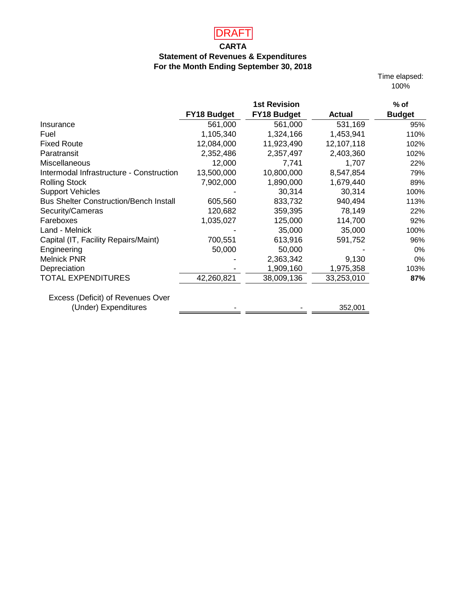

### **CARTA Statement of Revenues & Expenditures For the Month Ending September 30, 2018**

Time elapsed: 100%

|                                               | <b>1st Revision</b> |             |               | $%$ of        |
|-----------------------------------------------|---------------------|-------------|---------------|---------------|
|                                               | <b>FY18 Budget</b>  | FY18 Budget | <b>Actual</b> | <b>Budget</b> |
| Insurance                                     | 561,000             | 561,000     | 531,169       | 95%           |
| Fuel                                          | 1,105,340           | 1,324,166   | 1,453,941     | 110%          |
| <b>Fixed Route</b>                            | 12,084,000          | 11,923,490  | 12,107,118    | 102%          |
| Paratransit                                   | 2,352,486           | 2,357,497   | 2,403,360     | 102%          |
| Miscellaneous                                 | 12,000              | 7,741       | 1,707         | 22%           |
| Intermodal Infrastructure - Construction      | 13,500,000          | 10,800,000  | 8,547,854     | 79%           |
| <b>Rolling Stock</b>                          | 7,902,000           | 1,890,000   | 1,679,440     | 89%           |
| <b>Support Vehicles</b>                       |                     | 30,314      | 30,314        | 100%          |
| <b>Bus Shelter Construction/Bench Install</b> | 605,560             | 833,732     | 940,494       | 113%          |
| Security/Cameras                              | 120,682             | 359,395     | 78,149        | 22%           |
| Fareboxes                                     | 1,035,027           | 125,000     | 114,700       | 92%           |
| Land - Melnick                                |                     | 35,000      | 35,000        | 100%          |
| Capital (IT, Facility Repairs/Maint)          | 700,551             | 613,916     | 591,752       | 96%           |
| Engineering                                   | 50,000              | 50,000      |               | 0%            |
| <b>Melnick PNR</b>                            |                     | 2,363,342   | 9,130         | 0%            |
| Depreciation                                  |                     | 1,909,160   | 1,975,358     | 103%          |
| <b>TOTAL EXPENDITURES</b>                     | 42,260,821          | 38,009,136  | 33,253,010    | 87%           |
| Excess (Deficit) of Revenues Over             |                     |             |               |               |
| (Under) Expenditures                          |                     |             | 352,001       |               |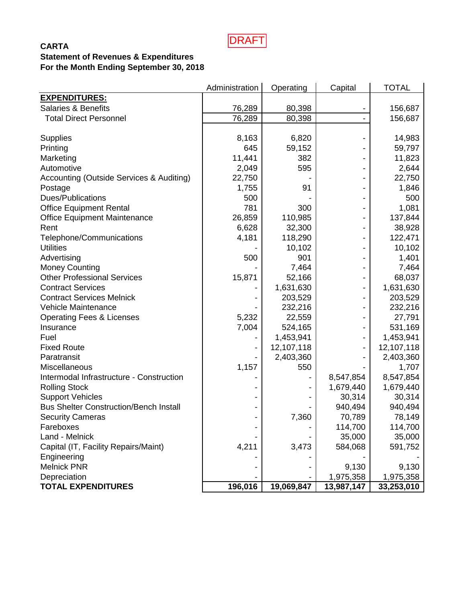

# **CARTA Statement of Revenues & Expenditures For the Month Ending September 30, 2018**

|                                               | Administration | Operating  | Capital    | <b>TOTAL</b> |
|-----------------------------------------------|----------------|------------|------------|--------------|
| <b>EXPENDITURES:</b>                          |                |            |            |              |
| <b>Salaries &amp; Benefits</b>                | 76,289         | 80,398     |            | 156,687      |
| <b>Total Direct Personnel</b>                 | 76,289         | 80,398     |            | 156,687      |
|                                               |                |            |            |              |
| <b>Supplies</b>                               | 8,163          | 6,820      |            | 14,983       |
| Printing                                      | 645            | 59,152     |            | 59,797       |
| Marketing                                     | 11,441         | 382        |            | 11,823       |
| Automotive                                    | 2,049          | 595        |            | 2,644        |
| Accounting (Outside Services & Auditing)      | 22,750         |            |            | 22,750       |
| Postage                                       | 1,755          | 91         |            | 1,846        |
| <b>Dues/Publications</b>                      | 500            |            |            | 500          |
| <b>Office Equipment Rental</b>                | 781            | 300        |            | 1,081        |
| <b>Office Equipment Maintenance</b>           | 26,859         | 110,985    |            | 137,844      |
| Rent                                          | 6,628          | 32,300     |            | 38,928       |
| Telephone/Communications                      | 4,181          | 118,290    |            | 122,471      |
| <b>Utilities</b>                              |                | 10,102     |            | 10,102       |
| Advertising                                   | 500            | 901        |            | 1,401        |
| <b>Money Counting</b>                         |                | 7,464      |            | 7,464        |
| <b>Other Professional Services</b>            | 15,871         | 52,166     |            | 68,037       |
| <b>Contract Services</b>                      |                | 1,631,630  |            | 1,631,630    |
| <b>Contract Services Melnick</b>              |                | 203,529    |            | 203,529      |
| Vehicle Maintenance                           |                | 232,216    |            | 232,216      |
| <b>Operating Fees &amp; Licenses</b>          | 5,232          | 22,559     |            | 27,791       |
| Insurance                                     | 7,004          | 524,165    |            | 531,169      |
| Fuel                                          |                | 1,453,941  |            | 1,453,941    |
| <b>Fixed Route</b>                            |                | 12,107,118 |            | 12,107,118   |
| Paratransit                                   |                | 2,403,360  |            | 2,403,360    |
| Miscellaneous                                 | 1,157          | 550        |            | 1,707        |
| Intermodal Infrastructure - Construction      |                |            | 8,547,854  | 8,547,854    |
| <b>Rolling Stock</b>                          |                |            | 1,679,440  | 1,679,440    |
| <b>Support Vehicles</b>                       |                |            | 30,314     | 30,314       |
| <b>Bus Shelter Construction/Bench Install</b> |                |            | 940,494    | 940,494      |
| <b>Security Cameras</b>                       |                | 7,360      | 70,789     | 78,149       |
| Fareboxes                                     |                |            | 114,700    | 114,700      |
| Land - Melnick                                |                |            | 35,000     | 35,000       |
| Capital (IT, Facility Repairs/Maint)          | 4,211          | 3,473      | 584,068    | 591,752      |
| Engineering                                   |                |            |            |              |
| <b>Melnick PNR</b>                            |                |            | 9,130      | 9,130        |
| Depreciation                                  |                |            | 1,975,358  | 1,975,358    |
| <b>TOTAL EXPENDITURES</b>                     | 196,016        | 19,069,847 | 13,987,147 | 33,253,010   |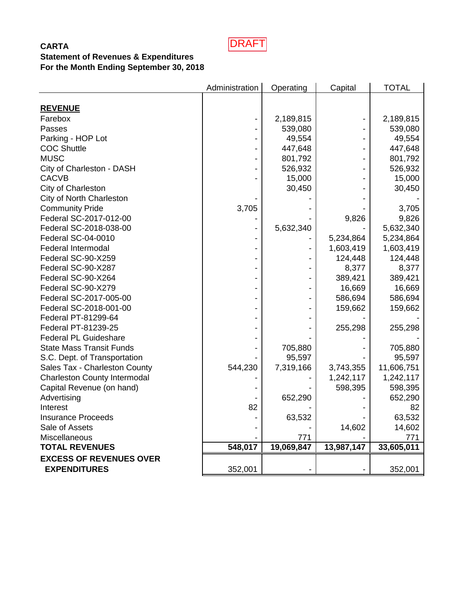

# **CARTA Statement of Revenues & Expenditures For the Month Ending September 30, 2018**

| <b>REVENUE</b><br>Farebox<br>2,189,815<br>2,189,815<br>Passes<br>539,080<br>539,080<br>Parking - HOP Lot<br>49,554<br>49,554<br><b>COC Shuttle</b><br>447,648<br>447,648<br><b>MUSC</b><br>801,792<br>801,792<br>City of Charleston - DASH<br>526,932<br>526,932<br><b>CACVB</b><br>15,000<br>15,000<br>City of Charleston<br>30,450<br>30,450<br>City of North Charleston<br><b>Community Pride</b><br>3,705<br>3,705<br>Federal SC-2017-012-00<br>9,826<br>9,826<br>Federal SC-2018-038-00<br>5,632,340<br>5,632,340<br>Federal SC-04-0010<br>5,234,864<br>5,234,864<br><b>Federal Intermodal</b><br>1,603,419<br>1,603,419<br>Federal SC-90-X259<br>124,448<br>124,448<br>Federal SC-90-X287<br>8,377<br>8,377<br>Federal SC-90-X264<br>389,421<br>389,421<br>Federal SC-90-X279<br>16,669<br>16,669<br>Federal SC-2017-005-00<br>586,694<br>586,694<br>Federal SC-2018-001-00<br>159,662<br>159,662<br>Federal PT-81299-64<br>Federal PT-81239-25<br>255,298<br>255,298<br><b>Federal PL Guideshare</b><br><b>State Mass Transit Funds</b><br>705,880<br>705,880<br>S.C. Dept. of Transportation<br>95,597<br>95,597<br>Sales Tax - Charleston County<br>544,230<br>11,606,751<br>7,319,166<br>3,743,355<br><b>Charleston County Intermodal</b><br>1,242,117<br>1,242,117<br>Capital Revenue (on hand)<br>598,395<br>598,395<br>Advertising<br>652,290<br>652,290<br>82<br>Interest<br>82<br><b>Insurance Proceeds</b><br>63,532<br>63,532<br>Sale of Assets<br>14,602<br>14,602<br>Miscellaneous<br>771<br>771<br>548,017<br>19,069,847<br>13,987,147<br>33,605,011<br><b>TOTAL REVENUES</b><br><b>EXCESS OF REVENUES OVER</b><br><b>EXPENDITURES</b><br>352,001<br>352,001 | Administration | Operating | Capital | <b>TOTAL</b> |
|----------------------------------------------------------------------------------------------------------------------------------------------------------------------------------------------------------------------------------------------------------------------------------------------------------------------------------------------------------------------------------------------------------------------------------------------------------------------------------------------------------------------------------------------------------------------------------------------------------------------------------------------------------------------------------------------------------------------------------------------------------------------------------------------------------------------------------------------------------------------------------------------------------------------------------------------------------------------------------------------------------------------------------------------------------------------------------------------------------------------------------------------------------------------------------------------------------------------------------------------------------------------------------------------------------------------------------------------------------------------------------------------------------------------------------------------------------------------------------------------------------------------------------------------------------------------------------------------------------------------------------------------------------------------------------|----------------|-----------|---------|--------------|
|                                                                                                                                                                                                                                                                                                                                                                                                                                                                                                                                                                                                                                                                                                                                                                                                                                                                                                                                                                                                                                                                                                                                                                                                                                                                                                                                                                                                                                                                                                                                                                                                                                                                                  |                |           |         |              |
|                                                                                                                                                                                                                                                                                                                                                                                                                                                                                                                                                                                                                                                                                                                                                                                                                                                                                                                                                                                                                                                                                                                                                                                                                                                                                                                                                                                                                                                                                                                                                                                                                                                                                  |                |           |         |              |
|                                                                                                                                                                                                                                                                                                                                                                                                                                                                                                                                                                                                                                                                                                                                                                                                                                                                                                                                                                                                                                                                                                                                                                                                                                                                                                                                                                                                                                                                                                                                                                                                                                                                                  |                |           |         |              |
|                                                                                                                                                                                                                                                                                                                                                                                                                                                                                                                                                                                                                                                                                                                                                                                                                                                                                                                                                                                                                                                                                                                                                                                                                                                                                                                                                                                                                                                                                                                                                                                                                                                                                  |                |           |         |              |
|                                                                                                                                                                                                                                                                                                                                                                                                                                                                                                                                                                                                                                                                                                                                                                                                                                                                                                                                                                                                                                                                                                                                                                                                                                                                                                                                                                                                                                                                                                                                                                                                                                                                                  |                |           |         |              |
|                                                                                                                                                                                                                                                                                                                                                                                                                                                                                                                                                                                                                                                                                                                                                                                                                                                                                                                                                                                                                                                                                                                                                                                                                                                                                                                                                                                                                                                                                                                                                                                                                                                                                  |                |           |         |              |
|                                                                                                                                                                                                                                                                                                                                                                                                                                                                                                                                                                                                                                                                                                                                                                                                                                                                                                                                                                                                                                                                                                                                                                                                                                                                                                                                                                                                                                                                                                                                                                                                                                                                                  |                |           |         |              |
|                                                                                                                                                                                                                                                                                                                                                                                                                                                                                                                                                                                                                                                                                                                                                                                                                                                                                                                                                                                                                                                                                                                                                                                                                                                                                                                                                                                                                                                                                                                                                                                                                                                                                  |                |           |         |              |
|                                                                                                                                                                                                                                                                                                                                                                                                                                                                                                                                                                                                                                                                                                                                                                                                                                                                                                                                                                                                                                                                                                                                                                                                                                                                                                                                                                                                                                                                                                                                                                                                                                                                                  |                |           |         |              |
|                                                                                                                                                                                                                                                                                                                                                                                                                                                                                                                                                                                                                                                                                                                                                                                                                                                                                                                                                                                                                                                                                                                                                                                                                                                                                                                                                                                                                                                                                                                                                                                                                                                                                  |                |           |         |              |
|                                                                                                                                                                                                                                                                                                                                                                                                                                                                                                                                                                                                                                                                                                                                                                                                                                                                                                                                                                                                                                                                                                                                                                                                                                                                                                                                                                                                                                                                                                                                                                                                                                                                                  |                |           |         |              |
|                                                                                                                                                                                                                                                                                                                                                                                                                                                                                                                                                                                                                                                                                                                                                                                                                                                                                                                                                                                                                                                                                                                                                                                                                                                                                                                                                                                                                                                                                                                                                                                                                                                                                  |                |           |         |              |
|                                                                                                                                                                                                                                                                                                                                                                                                                                                                                                                                                                                                                                                                                                                                                                                                                                                                                                                                                                                                                                                                                                                                                                                                                                                                                                                                                                                                                                                                                                                                                                                                                                                                                  |                |           |         |              |
|                                                                                                                                                                                                                                                                                                                                                                                                                                                                                                                                                                                                                                                                                                                                                                                                                                                                                                                                                                                                                                                                                                                                                                                                                                                                                                                                                                                                                                                                                                                                                                                                                                                                                  |                |           |         |              |
|                                                                                                                                                                                                                                                                                                                                                                                                                                                                                                                                                                                                                                                                                                                                                                                                                                                                                                                                                                                                                                                                                                                                                                                                                                                                                                                                                                                                                                                                                                                                                                                                                                                                                  |                |           |         |              |
|                                                                                                                                                                                                                                                                                                                                                                                                                                                                                                                                                                                                                                                                                                                                                                                                                                                                                                                                                                                                                                                                                                                                                                                                                                                                                                                                                                                                                                                                                                                                                                                                                                                                                  |                |           |         |              |
|                                                                                                                                                                                                                                                                                                                                                                                                                                                                                                                                                                                                                                                                                                                                                                                                                                                                                                                                                                                                                                                                                                                                                                                                                                                                                                                                                                                                                                                                                                                                                                                                                                                                                  |                |           |         |              |
|                                                                                                                                                                                                                                                                                                                                                                                                                                                                                                                                                                                                                                                                                                                                                                                                                                                                                                                                                                                                                                                                                                                                                                                                                                                                                                                                                                                                                                                                                                                                                                                                                                                                                  |                |           |         |              |
|                                                                                                                                                                                                                                                                                                                                                                                                                                                                                                                                                                                                                                                                                                                                                                                                                                                                                                                                                                                                                                                                                                                                                                                                                                                                                                                                                                                                                                                                                                                                                                                                                                                                                  |                |           |         |              |
|                                                                                                                                                                                                                                                                                                                                                                                                                                                                                                                                                                                                                                                                                                                                                                                                                                                                                                                                                                                                                                                                                                                                                                                                                                                                                                                                                                                                                                                                                                                                                                                                                                                                                  |                |           |         |              |
|                                                                                                                                                                                                                                                                                                                                                                                                                                                                                                                                                                                                                                                                                                                                                                                                                                                                                                                                                                                                                                                                                                                                                                                                                                                                                                                                                                                                                                                                                                                                                                                                                                                                                  |                |           |         |              |
|                                                                                                                                                                                                                                                                                                                                                                                                                                                                                                                                                                                                                                                                                                                                                                                                                                                                                                                                                                                                                                                                                                                                                                                                                                                                                                                                                                                                                                                                                                                                                                                                                                                                                  |                |           |         |              |
|                                                                                                                                                                                                                                                                                                                                                                                                                                                                                                                                                                                                                                                                                                                                                                                                                                                                                                                                                                                                                                                                                                                                                                                                                                                                                                                                                                                                                                                                                                                                                                                                                                                                                  |                |           |         |              |
|                                                                                                                                                                                                                                                                                                                                                                                                                                                                                                                                                                                                                                                                                                                                                                                                                                                                                                                                                                                                                                                                                                                                                                                                                                                                                                                                                                                                                                                                                                                                                                                                                                                                                  |                |           |         |              |
|                                                                                                                                                                                                                                                                                                                                                                                                                                                                                                                                                                                                                                                                                                                                                                                                                                                                                                                                                                                                                                                                                                                                                                                                                                                                                                                                                                                                                                                                                                                                                                                                                                                                                  |                |           |         |              |
|                                                                                                                                                                                                                                                                                                                                                                                                                                                                                                                                                                                                                                                                                                                                                                                                                                                                                                                                                                                                                                                                                                                                                                                                                                                                                                                                                                                                                                                                                                                                                                                                                                                                                  |                |           |         |              |
|                                                                                                                                                                                                                                                                                                                                                                                                                                                                                                                                                                                                                                                                                                                                                                                                                                                                                                                                                                                                                                                                                                                                                                                                                                                                                                                                                                                                                                                                                                                                                                                                                                                                                  |                |           |         |              |
|                                                                                                                                                                                                                                                                                                                                                                                                                                                                                                                                                                                                                                                                                                                                                                                                                                                                                                                                                                                                                                                                                                                                                                                                                                                                                                                                                                                                                                                                                                                                                                                                                                                                                  |                |           |         |              |
|                                                                                                                                                                                                                                                                                                                                                                                                                                                                                                                                                                                                                                                                                                                                                                                                                                                                                                                                                                                                                                                                                                                                                                                                                                                                                                                                                                                                                                                                                                                                                                                                                                                                                  |                |           |         |              |
|                                                                                                                                                                                                                                                                                                                                                                                                                                                                                                                                                                                                                                                                                                                                                                                                                                                                                                                                                                                                                                                                                                                                                                                                                                                                                                                                                                                                                                                                                                                                                                                                                                                                                  |                |           |         |              |
|                                                                                                                                                                                                                                                                                                                                                                                                                                                                                                                                                                                                                                                                                                                                                                                                                                                                                                                                                                                                                                                                                                                                                                                                                                                                                                                                                                                                                                                                                                                                                                                                                                                                                  |                |           |         |              |
|                                                                                                                                                                                                                                                                                                                                                                                                                                                                                                                                                                                                                                                                                                                                                                                                                                                                                                                                                                                                                                                                                                                                                                                                                                                                                                                                                                                                                                                                                                                                                                                                                                                                                  |                |           |         |              |
|                                                                                                                                                                                                                                                                                                                                                                                                                                                                                                                                                                                                                                                                                                                                                                                                                                                                                                                                                                                                                                                                                                                                                                                                                                                                                                                                                                                                                                                                                                                                                                                                                                                                                  |                |           |         |              |
|                                                                                                                                                                                                                                                                                                                                                                                                                                                                                                                                                                                                                                                                                                                                                                                                                                                                                                                                                                                                                                                                                                                                                                                                                                                                                                                                                                                                                                                                                                                                                                                                                                                                                  |                |           |         |              |
|                                                                                                                                                                                                                                                                                                                                                                                                                                                                                                                                                                                                                                                                                                                                                                                                                                                                                                                                                                                                                                                                                                                                                                                                                                                                                                                                                                                                                                                                                                                                                                                                                                                                                  |                |           |         |              |
|                                                                                                                                                                                                                                                                                                                                                                                                                                                                                                                                                                                                                                                                                                                                                                                                                                                                                                                                                                                                                                                                                                                                                                                                                                                                                                                                                                                                                                                                                                                                                                                                                                                                                  |                |           |         |              |
|                                                                                                                                                                                                                                                                                                                                                                                                                                                                                                                                                                                                                                                                                                                                                                                                                                                                                                                                                                                                                                                                                                                                                                                                                                                                                                                                                                                                                                                                                                                                                                                                                                                                                  |                |           |         |              |
|                                                                                                                                                                                                                                                                                                                                                                                                                                                                                                                                                                                                                                                                                                                                                                                                                                                                                                                                                                                                                                                                                                                                                                                                                                                                                                                                                                                                                                                                                                                                                                                                                                                                                  |                |           |         |              |